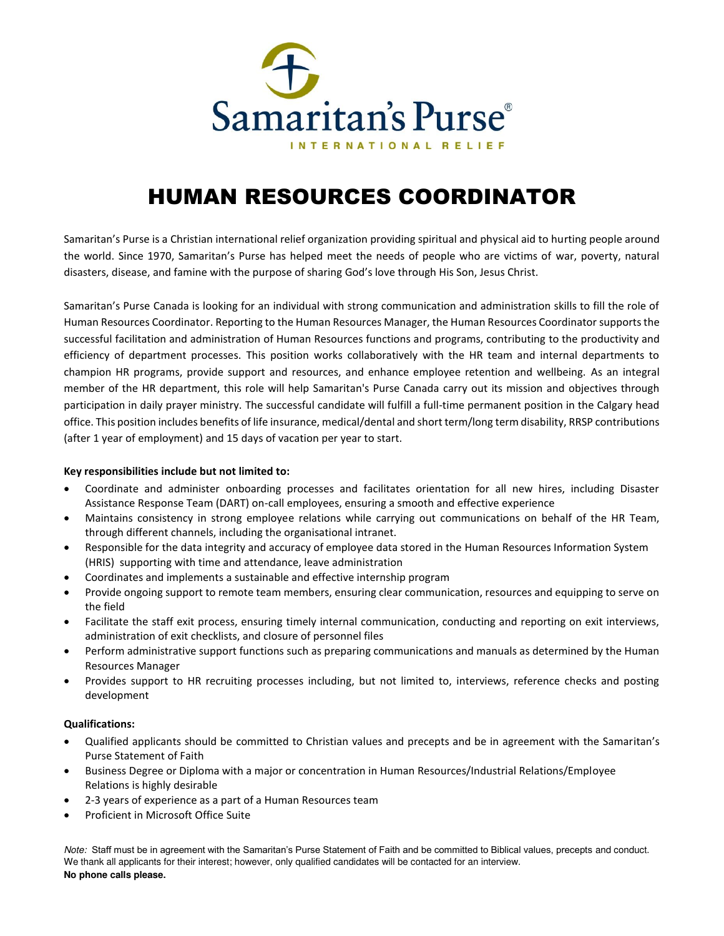

# HUMAN RESOURCES COORDINATOR

Samaritan's Purse is a Christian international relief organization providing spiritual and physical aid to hurting people around the world. Since 1970, Samaritan's Purse has helped meet the needs of people who are victims of war, poverty, natural disasters, disease, and famine with the purpose of sharing God's love through His Son, Jesus Christ.

Samaritan's Purse Canada is looking for an individual with strong communication and administration skills to fill the role of Human Resources Coordinator. Reporting to the Human Resources Manager, the Human Resources Coordinator supports the successful facilitation and administration of Human Resources functions and programs, contributing to the productivity and efficiency of department processes. This position works collaboratively with the HR team and internal departments to champion HR programs, provide support and resources, and enhance employee retention and wellbeing. As an integral member of the HR department, this role will help Samaritan's Purse Canada carry out its mission and objectives through participation in daily prayer ministry. The successful candidate will fulfill a full-time permanent position in the Calgary head office. This position includes benefits of life insurance, medical/dental and short term/long term disability, RRSP contributions (after 1 year of employment) and 15 days of vacation per year to start.

## **Key responsibilities include but not limited to:**

- Coordinate and administer onboarding processes and facilitates orientation for all new hires, including Disaster Assistance Response Team (DART) on-call employees, ensuring a smooth and effective experience
- Maintains consistency in strong employee relations while carrying out communications on behalf of the HR Team, through different channels, including the organisational intranet.
- Responsible for the data integrity and accuracy of employee data stored in the Human Resources Information System (HRIS) supporting with time and attendance, leave administration
- Coordinates and implements a sustainable and effective internship program
- Provide ongoing support to remote team members, ensuring clear communication, resources and equipping to serve on the field
- Facilitate the staff exit process, ensuring timely internal communication, conducting and reporting on exit interviews, administration of exit checklists, and closure of personnel files
- Perform administrative support functions such as preparing communications and manuals as determined by the Human Resources Manager
- Provides support to HR recruiting processes including, but not limited to, interviews, reference checks and posting development

#### **Qualifications:**

- Qualified applicants should be committed to Christian values and precepts and be in agreement with the Samaritan's Purse Statement of Faith
- Business Degree or Diploma with a major or concentration in Human Resources/Industrial Relations/Employee Relations is highly desirable
- 2-3 years of experience as a part of a Human Resources team
- Proficient in Microsoft Office Suite

Note: Staff must be in agreement with the Samaritan's Purse Statement of Faith and be committed to Biblical values, precepts and conduct. We thank all applicants for their interest; however, only qualified candidates will be contacted for an interview. **No phone calls please.**